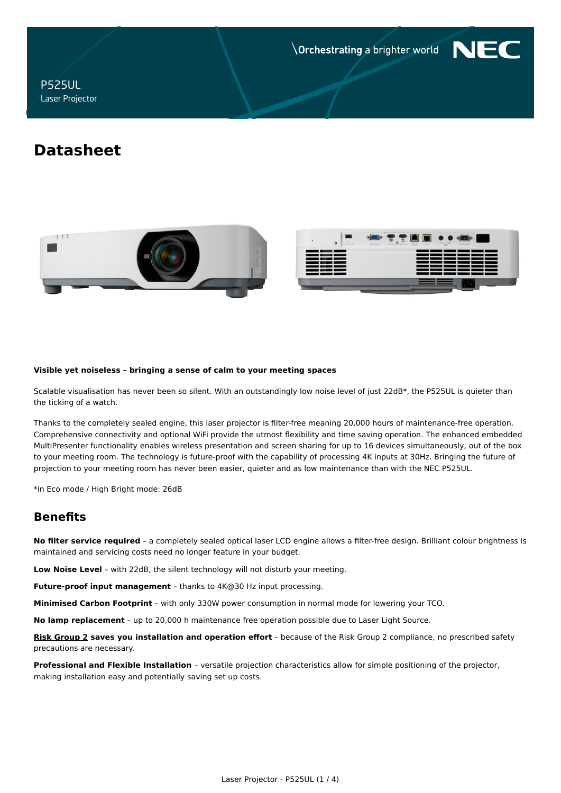**Orchestrating a brighter world** 



P525UL Laser Projector

# **Datasheet**





#### **Visible yet noiseless – bringing a sense of calm to your meeting spaces**

Scalable visualisation has never been so silent. With an outstandingly low noise level of just 22dB\*, the P525UL is quieter than the ticking of a watch.

Thanks to the completely sealed engine, this laser projector is filter-free meaning 20,000 hours of maintenance-free operation. Comprehensive connectivity and optional WiFi provide the utmost flexibility and time saving operation. The enhanced embedded MultiPresenter functionality enables wireless presentation and screen sharing for up to 16 devices simultaneously, out of the box to your meeting room. The technology is future-proof with the capability of processing 4K inputs at 30Hz. Bringing the future of projection to your meeting room has never been easier, quieter and as low maintenance than with the NEC P525UL.

\*in Eco mode / High Bright mode: 26dB

# **Benefits**

**No filter service required** – a completely sealed optical laser LCD engine allows a filter-free design. Brilliant colour brightness is maintained and servicing costs need no longer feature in your budget.

**Low Noise Level** – with 22dB, the silent technology will not disturb your meeting.

**Future-proof input management** – thanks to 4K@30 Hz input processing.

**Minimised Carbon Footprint** – with only 330W power consumption in normal mode for lowering your TCO.

**No lamp replacement** – up to 20,000 h maintenance free operation possible due to Laser Light Source.

**[Risk Group 2](https://www.nec-display-solutions.com/p/download/cp/Products/Shared/KeyBenefit-Downloads/Projectors/NEC_Laser_Risk_Group_Sept2017_Web.pdf) saves you installation and operation effort** – because of the Risk Group 2 compliance, no prescribed safety precautions are necessary.

**Professional and Flexible Installation** – versatile projection characteristics allow for simple positioning of the projector, making installation easy and potentially saving set up costs.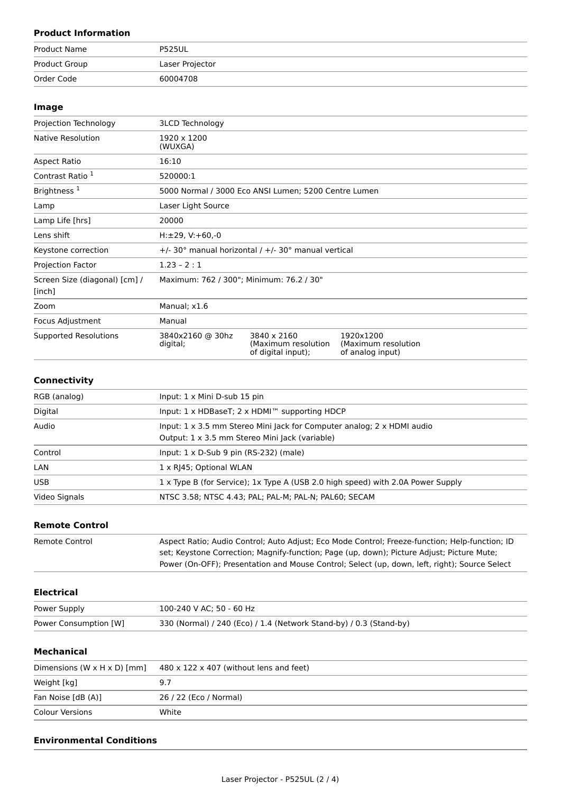### **Product Information**

| Product Name  | <b>P525UL</b>   |
|---------------|-----------------|
| Product Group | Laser Projector |
| Order Code    | 60004708        |

### **Image**

| Projection Technology                   | <b>3LCD Technology</b>                   |                                                          |                                                      |
|-----------------------------------------|------------------------------------------|----------------------------------------------------------|------------------------------------------------------|
| Native Resolution                       | 1920 x 1200<br>(WUXGA)                   |                                                          |                                                      |
| <b>Aspect Ratio</b>                     | 16:10                                    |                                                          |                                                      |
| Contrast Ratio 1                        | 520000:1                                 |                                                          |                                                      |
| Brightness <sup>1</sup>                 |                                          | 5000 Normal / 3000 Eco ANSI Lumen; 5200 Centre Lumen     |                                                      |
| Lamp                                    | Laser Light Source                       |                                                          |                                                      |
| Lamp Life [hrs]                         | 20000                                    |                                                          |                                                      |
| Lens shift                              | $H: \pm 29, V: +60, -0$                  |                                                          |                                                      |
| Keystone correction                     |                                          | $+/-$ 30° manual horizontal / $+/-$ 30° manual vertical  |                                                      |
| Projection Factor                       | $1.23 - 2:1$                             |                                                          |                                                      |
| Screen Size (diagonal) [cm] /<br>[inch] | Maximum: 762 / 300"; Minimum: 76.2 / 30" |                                                          |                                                      |
| Zoom                                    | Manual; x1.6                             |                                                          |                                                      |
| Focus Adjustment                        | Manual                                   |                                                          |                                                      |
| <b>Supported Resolutions</b>            | 3840x2160 @ 30hz<br>digital;             | 3840 x 2160<br>(Maximum resolution<br>of digital input); | 1920x1200<br>(Maximum resolution<br>of analog input) |

## **Connectivity**

| RGB (analog)  | Input: $1 \times$ Mini D-sub 15 pin                                                                                                    |
|---------------|----------------------------------------------------------------------------------------------------------------------------------------|
| Digital       | Input: 1 x HDBaseT; 2 x HDMI™ supporting HDCP                                                                                          |
| Audio         | Input: $1 \times 3.5$ mm Stereo Mini Jack for Computer analog; $2 \times$ HDMI audio<br>Output: 1 x 3.5 mm Stereo Mini Jack (variable) |
| Control       | Input: $1 \times D$ -Sub 9 pin (RS-232) (male)                                                                                         |
| LAN           | 1 x RJ45; Optional WLAN                                                                                                                |
| <b>USB</b>    | 1 x Type B (for Service); 1x Type A (USB 2.0 high speed) with 2.0A Power Supply                                                        |
| Video Signals | NTSC 3.58; NTSC 4.43; PAL; PAL-M; PAL-N; PAL60; SECAM                                                                                  |

### **Remote Control**

| Remote Control | Aspect Ratio; Audio Control; Auto Adjust; Eco Mode Control; Freeze-function; Help-function; ID |
|----------------|------------------------------------------------------------------------------------------------|
|                | set; Keystone Correction; Magnify-function; Page (up, down); Picture Adjust; Picture Mute;     |
|                | Power (On-OFF); Presentation and Mouse Control; Select (up, down, left, right); Source Select  |

### **Electrical**

| Power Supply          | 100-240 V AC: 50 - 60 Hz                                           |
|-----------------------|--------------------------------------------------------------------|
| Power Consumption [W] | 330 (Normal) / 240 (Eco) / 1.4 (Network Stand-by) / 0.3 (Stand-by) |

### **Mechanical**

| Dimensions (W $\times$ H $\times$ D) [mm] | $480 \times 122 \times 407$ (without lens and feet) |
|-------------------------------------------|-----------------------------------------------------|
| Weight [kg]                               |                                                     |
| Fan Noise [dB (A)]                        | 26 / 22 (Eco / Normal)                              |
| <b>Colour Versions</b>                    | White                                               |

### **Environmental Conditions**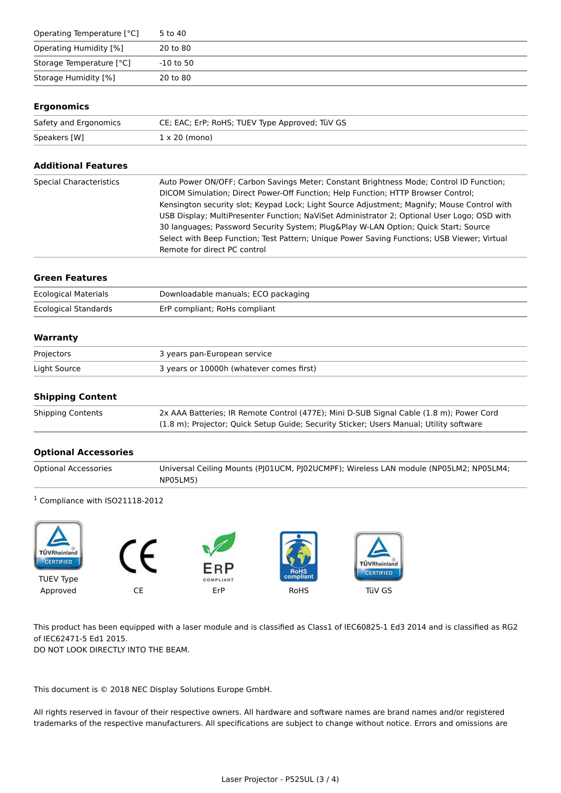| Operating Temperature [°C] | 5 to 40   |
|----------------------------|-----------|
| Operating Humidity [%]     | 20 to 80  |
| Storage Temperature [°C]   | -10 to 50 |
| Storage Humidity [%]       | 20 to 80  |

### **Ergonomics**

| Safety and Ergonomics | CE; EAC; ErP; RoHS; TUEV Type Approved; TüV GS |
|-----------------------|------------------------------------------------|
| Speakers [W]          | $1 \times 20$ (mono)                           |

### **Additional Features**

| <b>Special Characteristics</b> | Auto Power ON/OFF; Carbon Savings Meter; Constant Brightness Mode; Control ID Function;     |
|--------------------------------|---------------------------------------------------------------------------------------------|
|                                | DICOM Simulation; Direct Power-Off Function; Help Function; HTTP Browser Control;           |
|                                | Kensington security slot; Keypad Lock; Light Source Adjustment; Magnify; Mouse Control with |
|                                | USB Display; MultiPresenter Function; NaViSet Administrator 2; Optional User Logo; OSD with |
|                                | 30 languages; Password Security System; Plug&Play W-LAN Option; Quick Start; Source         |
|                                | Select with Beep Function; Test Pattern; Unique Power Saving Functions; USB Viewer; Virtual |
|                                | Remote for direct PC control                                                                |

#### **Green Features**

| <b>Ecological Materials</b> | Downloadable manuals; ECO packaging |
|-----------------------------|-------------------------------------|
| Ecological Standards        | ErP compliant; RoHs compliant       |

### **Warranty**

| Projectors   | 3 years pan-European service             |
|--------------|------------------------------------------|
| Light Source | 3 years or 10000h (whatever comes first) |

### **Shipping Content**

| <b>Shipping Contents</b> | 2x AAA Batteries; IR Remote Control (477E); Mini D-SUB Signal Cable (1.8 m); Power Cord |
|--------------------------|-----------------------------------------------------------------------------------------|
|                          | (1.8 m); Projector; Quick Setup Guide; Security Sticker; Users Manual; Utility software |

### **Optional Accessories**

| <b>Optional Accessories</b> | Universal Ceiling Mounts (PJ01UCM, PJ02UCMPF); Wireless LAN module (NP05LM2; NP05LM4; |
|-----------------------------|---------------------------------------------------------------------------------------|
|                             | NP05LM5)                                                                              |

### <sup>1</sup> Compliance with ISO21118-2012



This product has been equipped with a laser module and is classified as Class1 of IEC60825-1 Ed3 2014 and is classified as RG2 of IEC62471-5 Ed1 2015.

DO NOT LOOK DIRECTLY INTO THE BEAM.

This document is © 2018 NEC Display Solutions Europe GmbH.

All rights reserved in favour of their respective owners. All hardware and software names are brand names and/or registered trademarks of the respective manufacturers. All specifications are subject to change without notice. Errors and omissions are